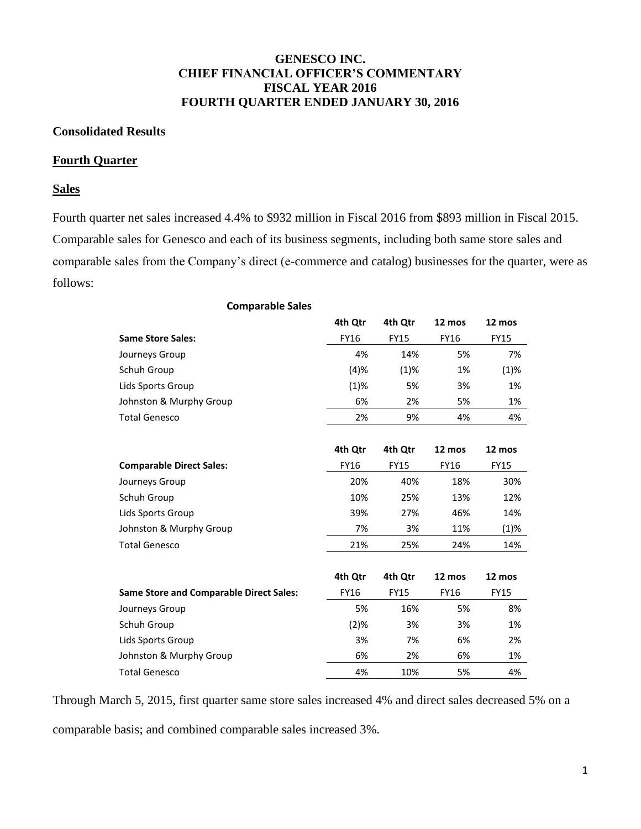# **GENESCO INC. CHIEF FINANCIAL OFFICER'S COMMENTARY FISCAL YEAR 2016 FOURTH QUARTER ENDED JANUARY 30, 2016**

### **Consolidated Results**

### **Fourth Quarter**

### **Sales**

Fourth quarter net sales increased 4.4% to \$932 million in Fiscal 2016 from \$893 million in Fiscal 2015. Comparable sales for Genesco and each of its business segments, including both same store sales and comparable sales from the Company's direct (e-commerce and catalog) businesses for the quarter, were as follows:

| <b>Comparable Sales</b>                        |             |             |             |             |
|------------------------------------------------|-------------|-------------|-------------|-------------|
|                                                | 4th Qtr     | 4th Qtr     | 12 mos      | 12 mos      |
| <b>Same Store Sales:</b>                       | FY16        | <b>FY15</b> | <b>FY16</b> | <b>FY15</b> |
| Journeys Group                                 | 4%          | 14%         | 5%          | 7%          |
| Schuh Group                                    | (4)%        | (1)%        | 1%          | (1)%        |
| Lids Sports Group                              | (1)%        | 5%          | 3%          | 1%          |
| Johnston & Murphy Group                        | 6%          | 2%          | 5%          | 1%          |
| <b>Total Genesco</b>                           | 2%          | 9%          | 4%          | 4%          |
|                                                | 4th Qtr     | 4th Qtr     | 12 mos      | 12 mos      |
| <b>Comparable Direct Sales:</b>                | <b>FY16</b> | <b>FY15</b> | <b>FY16</b> | <b>FY15</b> |
| Journeys Group                                 | 20%         | 40%         | 18%         | 30%         |
| Schuh Group                                    | 10%         | 25%         | 13%         | 12%         |
| Lids Sports Group                              | 39%         | 27%         | 46%         | 14%         |
| Johnston & Murphy Group                        | 7%          | 3%          | 11%         | (1)%        |
| <b>Total Genesco</b>                           | 21%         | 25%         | 24%         | 14%         |
|                                                | 4th Qtr     | 4th Qtr     | 12 mos      | 12 mos      |
| <b>Same Store and Comparable Direct Sales:</b> | FY16        | <b>FY15</b> | FY16        | <b>FY15</b> |
| Journeys Group                                 | 5%          | 16%         | 5%          | 8%          |
| Schuh Group                                    | (2)%        | 3%          | 3%          | 1%          |
| Lids Sports Group                              | 3%          | 7%          | 6%          | 2%          |
| Johnston & Murphy Group                        | 6%          | 2%          | 6%          | 1%          |
| <b>Total Genesco</b>                           | 4%          | 10%         | 5%          | 4%          |

Through March 5, 2015, first quarter same store sales increased 4% and direct sales decreased 5% on a

comparable basis; and combined comparable sales increased 3%.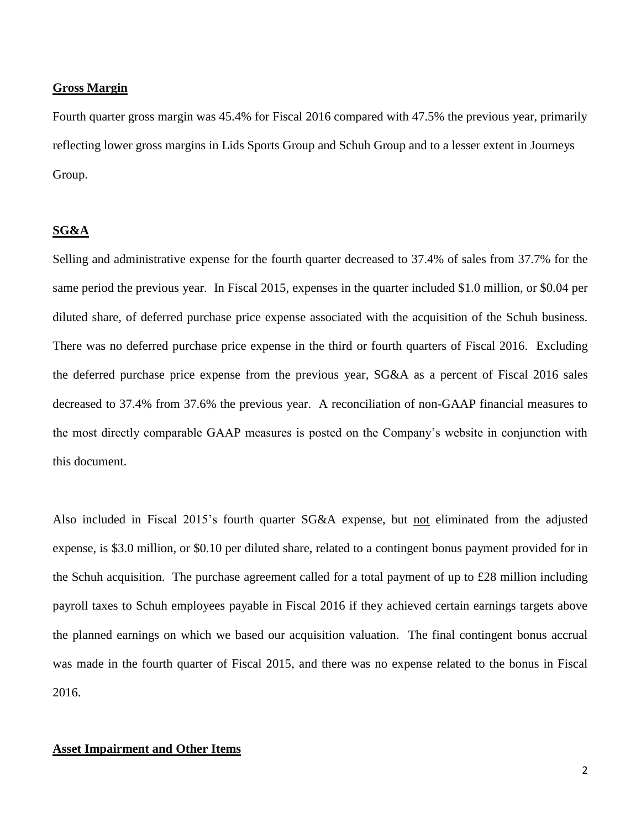#### **Gross Margin**

Fourth quarter gross margin was 45.4% for Fiscal 2016 compared with 47.5% the previous year, primarily reflecting lower gross margins in Lids Sports Group and Schuh Group and to a lesser extent in Journeys Group.

## **SG&A**

Selling and administrative expense for the fourth quarter decreased to 37.4% of sales from 37.7% for the same period the previous year. In Fiscal 2015, expenses in the quarter included \$1.0 million, or \$0.04 per diluted share, of deferred purchase price expense associated with the acquisition of the Schuh business. There was no deferred purchase price expense in the third or fourth quarters of Fiscal 2016. Excluding the deferred purchase price expense from the previous year, SG&A as a percent of Fiscal 2016 sales decreased to 37.4% from 37.6% the previous year. A reconciliation of non-GAAP financial measures to the most directly comparable GAAP measures is posted on the Company's website in conjunction with this document.

Also included in Fiscal 2015's fourth quarter SG&A expense, but not eliminated from the adjusted expense, is \$3.0 million, or \$0.10 per diluted share, related to a contingent bonus payment provided for in the Schuh acquisition. The purchase agreement called for a total payment of up to £28 million including payroll taxes to Schuh employees payable in Fiscal 2016 if they achieved certain earnings targets above the planned earnings on which we based our acquisition valuation. The final contingent bonus accrual was made in the fourth quarter of Fiscal 2015, and there was no expense related to the bonus in Fiscal 2016.

#### **Asset Impairment and Other Items**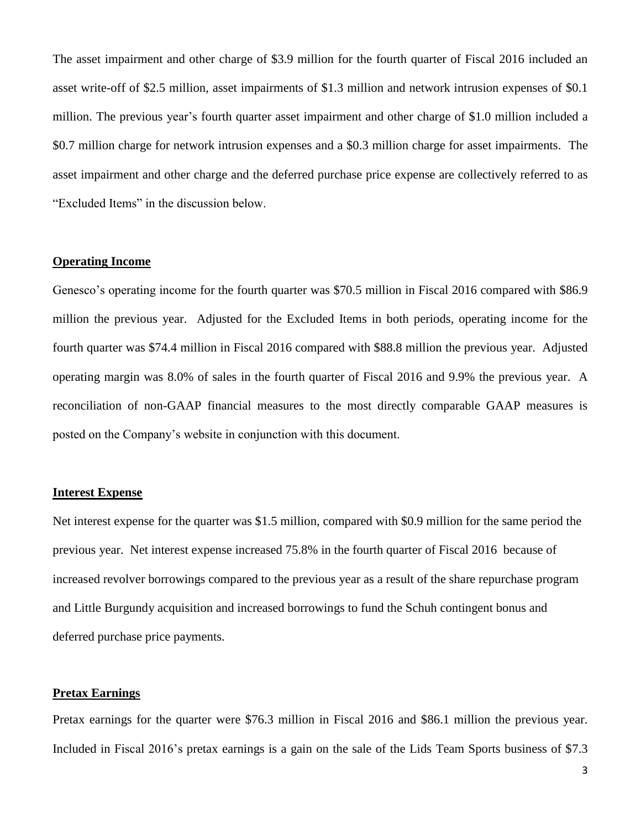The asset impairment and other charge of \$3.9 million for the fourth quarter of Fiscal 2016 included an asset write-off of \$2.5 million, asset impairments of \$1.3 million and network intrusion expenses of \$0.1 million. The previous year's fourth quarter asset impairment and other charge of \$1.0 million included a \$0.7 million charge for network intrusion expenses and a \$0.3 million charge for asset impairments. The asset impairment and other charge and the deferred purchase price expense are collectively referred to as "Excluded Items" in the discussion below.

### **Operating Income**

Genesco's operating income for the fourth quarter was \$70.5 million in Fiscal 2016 compared with \$86.9 million the previous year. Adjusted for the Excluded Items in both periods, operating income for the fourth quarter was \$74.4 million in Fiscal 2016 compared with \$88.8 million the previous year. Adjusted operating margin was 8.0% of sales in the fourth quarter of Fiscal 2016 and 9.9% the previous year. A reconciliation of non-GAAP financial measures to the most directly comparable GAAP measures is posted on the Company's website in conjunction with this document.

#### **Interest Expense**

Net interest expense for the quarter was \$1.5 million, compared with \$0.9 million for the same period the previous year. Net interest expense increased 75.8% in the fourth quarter of Fiscal 2016 because of increased revolver borrowings compared to the previous year as a result of the share repurchase program and Little Burgundy acquisition and increased borrowings to fund the Schuh contingent bonus and deferred purchase price payments.

## **Pretax Earnings**

Pretax earnings for the quarter were \$76.3 million in Fiscal 2016 and \$86.1 million the previous year. Included in Fiscal 2016's pretax earnings is a gain on the sale of the Lids Team Sports business of \$7.3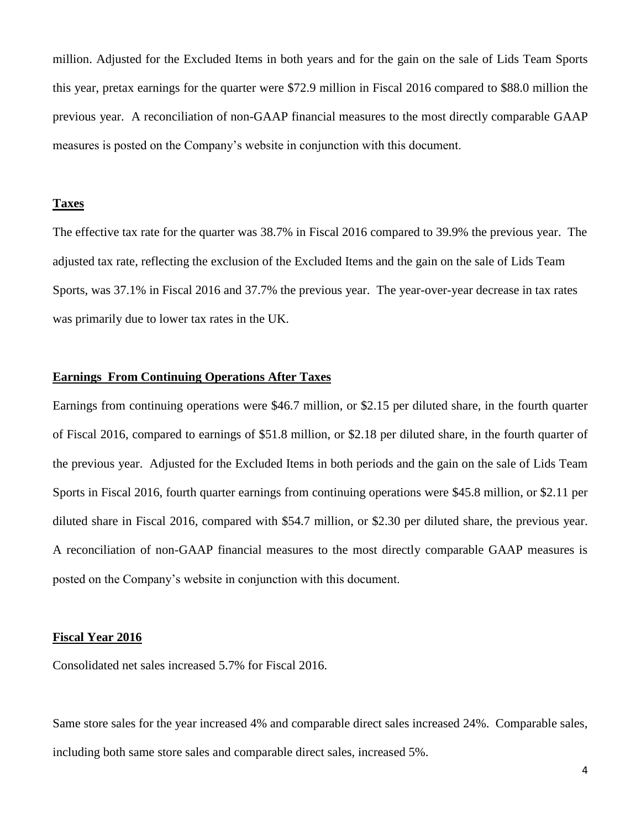million. Adjusted for the Excluded Items in both years and for the gain on the sale of Lids Team Sports this year, pretax earnings for the quarter were \$72.9 million in Fiscal 2016 compared to \$88.0 million the previous year. A reconciliation of non-GAAP financial measures to the most directly comparable GAAP measures is posted on the Company's website in conjunction with this document.

#### **Taxes**

The effective tax rate for the quarter was 38.7% in Fiscal 2016 compared to 39.9% the previous year. The adjusted tax rate, reflecting the exclusion of the Excluded Items and the gain on the sale of Lids Team Sports, was 37.1% in Fiscal 2016 and 37.7% the previous year. The year-over-year decrease in tax rates was primarily due to lower tax rates in the UK.

### **Earnings From Continuing Operations After Taxes**

Earnings from continuing operations were \$46.7 million, or \$2.15 per diluted share, in the fourth quarter of Fiscal 2016, compared to earnings of \$51.8 million, or \$2.18 per diluted share, in the fourth quarter of the previous year. Adjusted for the Excluded Items in both periods and the gain on the sale of Lids Team Sports in Fiscal 2016, fourth quarter earnings from continuing operations were \$45.8 million, or \$2.11 per diluted share in Fiscal 2016, compared with \$54.7 million, or \$2.30 per diluted share, the previous year. A reconciliation of non-GAAP financial measures to the most directly comparable GAAP measures is posted on the Company's website in conjunction with this document.

#### **Fiscal Year 2016**

Consolidated net sales increased 5.7% for Fiscal 2016.

Same store sales for the year increased 4% and comparable direct sales increased 24%. Comparable sales, including both same store sales and comparable direct sales, increased 5%.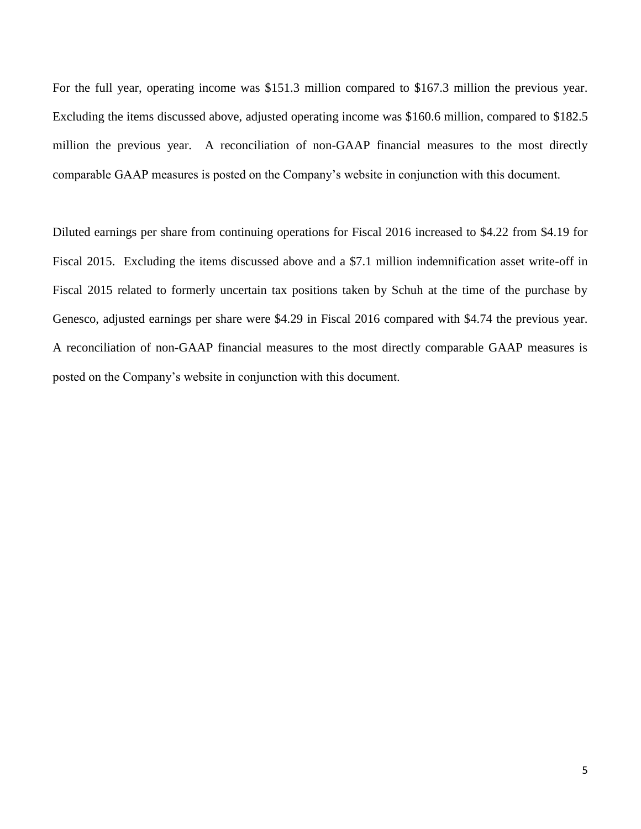For the full year, operating income was \$151.3 million compared to \$167.3 million the previous year. Excluding the items discussed above, adjusted operating income was \$160.6 million, compared to \$182.5 million the previous year. A reconciliation of non-GAAP financial measures to the most directly comparable GAAP measures is posted on the Company's website in conjunction with this document.

Diluted earnings per share from continuing operations for Fiscal 2016 increased to \$4.22 from \$4.19 for Fiscal 2015. Excluding the items discussed above and a \$7.1 million indemnification asset write-off in Fiscal 2015 related to formerly uncertain tax positions taken by Schuh at the time of the purchase by Genesco, adjusted earnings per share were \$4.29 in Fiscal 2016 compared with \$4.74 the previous year. A reconciliation of non-GAAP financial measures to the most directly comparable GAAP measures is posted on the Company's website in conjunction with this document.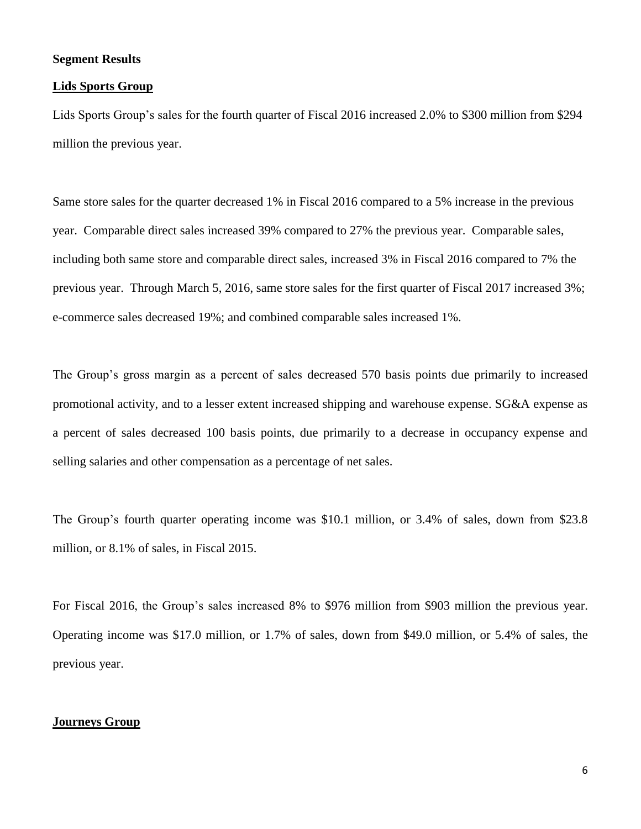### **Segment Results**

#### **Lids Sports Group**

Lids Sports Group's sales for the fourth quarter of Fiscal 2016 increased 2.0% to \$300 million from \$294 million the previous year.

Same store sales for the quarter decreased 1% in Fiscal 2016 compared to a 5% increase in the previous year. Comparable direct sales increased 39% compared to 27% the previous year. Comparable sales, including both same store and comparable direct sales, increased 3% in Fiscal 2016 compared to 7% the previous year. Through March 5, 2016, same store sales for the first quarter of Fiscal 2017 increased 3%; e-commerce sales decreased 19%; and combined comparable sales increased 1%.

The Group's gross margin as a percent of sales decreased 570 basis points due primarily to increased promotional activity, and to a lesser extent increased shipping and warehouse expense. SG&A expense as a percent of sales decreased 100 basis points, due primarily to a decrease in occupancy expense and selling salaries and other compensation as a percentage of net sales.

The Group's fourth quarter operating income was \$10.1 million, or 3.4% of sales, down from \$23.8 million, or 8.1% of sales, in Fiscal 2015.

For Fiscal 2016, the Group's sales increased 8% to \$976 million from \$903 million the previous year. Operating income was \$17.0 million, or 1.7% of sales, down from \$49.0 million, or 5.4% of sales, the previous year.

#### **Journeys Group**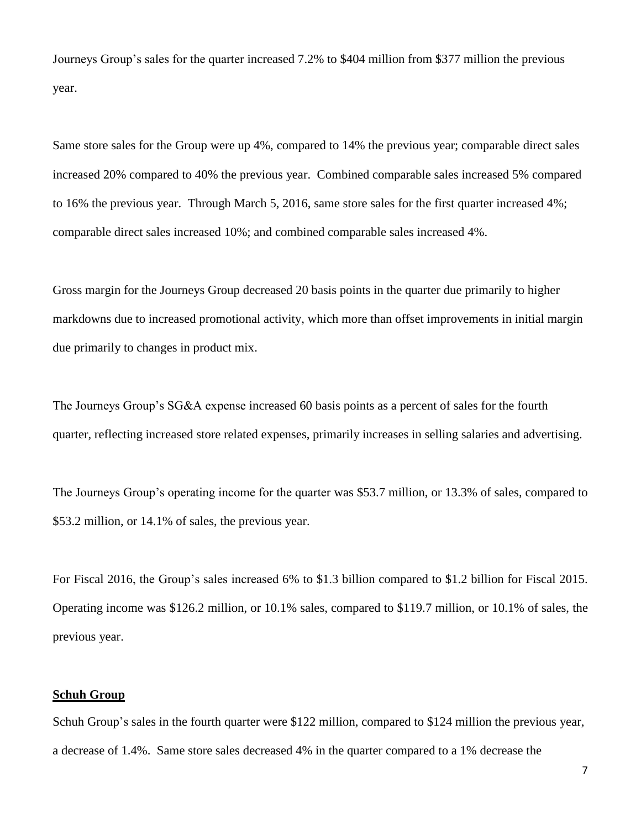Journeys Group's sales for the quarter increased 7.2% to \$404 million from \$377 million the previous year.

Same store sales for the Group were up 4%, compared to 14% the previous year; comparable direct sales increased 20% compared to 40% the previous year. Combined comparable sales increased 5% compared to 16% the previous year. Through March 5, 2016, same store sales for the first quarter increased 4%; comparable direct sales increased 10%; and combined comparable sales increased 4%.

Gross margin for the Journeys Group decreased 20 basis points in the quarter due primarily to higher markdowns due to increased promotional activity, which more than offset improvements in initial margin due primarily to changes in product mix.

The Journeys Group's SG&A expense increased 60 basis points as a percent of sales for the fourth quarter, reflecting increased store related expenses, primarily increases in selling salaries and advertising.

The Journeys Group's operating income for the quarter was \$53.7 million, or 13.3% of sales, compared to \$53.2 million, or 14.1% of sales, the previous year.

For Fiscal 2016, the Group's sales increased 6% to \$1.3 billion compared to \$1.2 billion for Fiscal 2015. Operating income was \$126.2 million, or 10.1% sales, compared to \$119.7 million, or 10.1% of sales, the previous year.

#### **Schuh Group**

Schuh Group's sales in the fourth quarter were \$122 million, compared to \$124 million the previous year, a decrease of 1.4%. Same store sales decreased 4% in the quarter compared to a 1% decrease the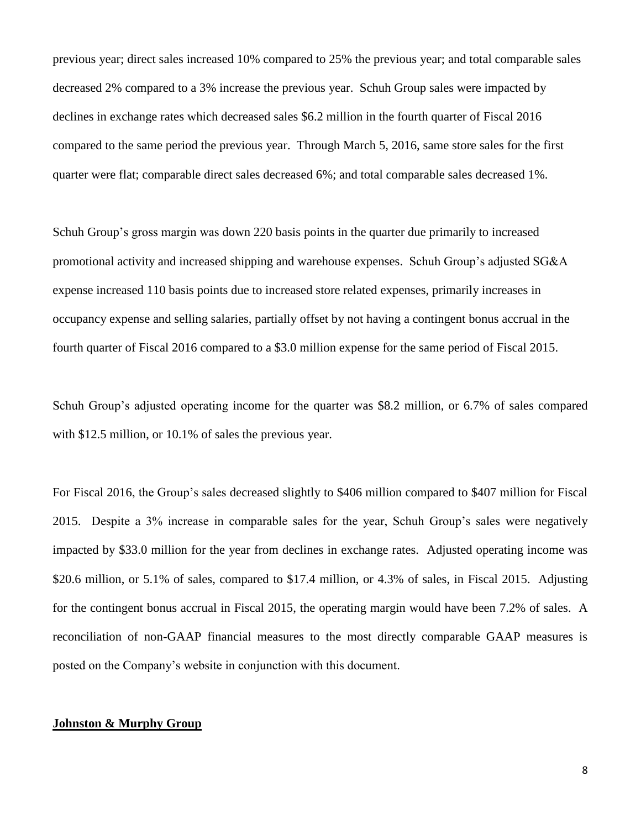previous year; direct sales increased 10% compared to 25% the previous year; and total comparable sales decreased 2% compared to a 3% increase the previous year. Schuh Group sales were impacted by declines in exchange rates which decreased sales \$6.2 million in the fourth quarter of Fiscal 2016 compared to the same period the previous year. Through March 5, 2016, same store sales for the first quarter were flat; comparable direct sales decreased 6%; and total comparable sales decreased 1%.

Schuh Group's gross margin was down 220 basis points in the quarter due primarily to increased promotional activity and increased shipping and warehouse expenses. Schuh Group's adjusted SG&A expense increased 110 basis points due to increased store related expenses, primarily increases in occupancy expense and selling salaries, partially offset by not having a contingent bonus accrual in the fourth quarter of Fiscal 2016 compared to a \$3.0 million expense for the same period of Fiscal 2015.

Schuh Group's adjusted operating income for the quarter was \$8.2 million, or 6.7% of sales compared with \$12.5 million, or 10.1% of sales the previous year.

For Fiscal 2016, the Group's sales decreased slightly to \$406 million compared to \$407 million for Fiscal 2015. Despite a 3% increase in comparable sales for the year, Schuh Group's sales were negatively impacted by \$33.0 million for the year from declines in exchange rates. Adjusted operating income was \$20.6 million, or 5.1% of sales, compared to \$17.4 million, or 4.3% of sales, in Fiscal 2015. Adjusting for the contingent bonus accrual in Fiscal 2015, the operating margin would have been 7.2% of sales. A reconciliation of non-GAAP financial measures to the most directly comparable GAAP measures is posted on the Company's website in conjunction with this document.

#### **Johnston & Murphy Group**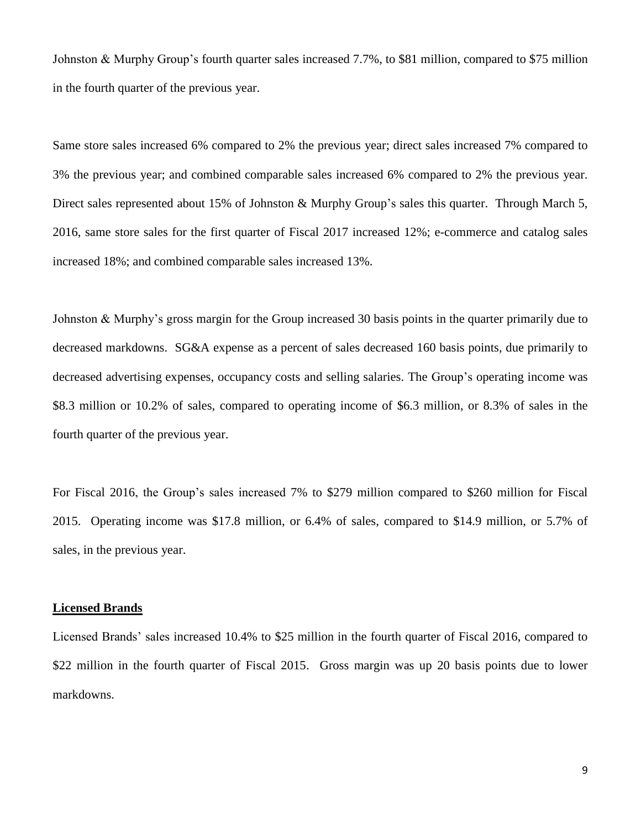Johnston & Murphy Group's fourth quarter sales increased 7.7%, to \$81 million, compared to \$75 million in the fourth quarter of the previous year.

Same store sales increased 6% compared to 2% the previous year; direct sales increased 7% compared to 3% the previous year; and combined comparable sales increased 6% compared to 2% the previous year. Direct sales represented about 15% of Johnston & Murphy Group's sales this quarter. Through March 5, 2016, same store sales for the first quarter of Fiscal 2017 increased 12%; e-commerce and catalog sales increased 18%; and combined comparable sales increased 13%.

Johnston & Murphy's gross margin for the Group increased 30 basis points in the quarter primarily due to decreased markdowns. SG&A expense as a percent of sales decreased 160 basis points, due primarily to decreased advertising expenses, occupancy costs and selling salaries. The Group's operating income was \$8.3 million or 10.2% of sales, compared to operating income of \$6.3 million, or 8.3% of sales in the fourth quarter of the previous year.

For Fiscal 2016, the Group's sales increased 7% to \$279 million compared to \$260 million for Fiscal 2015. Operating income was \$17.8 million, or 6.4% of sales, compared to \$14.9 million, or 5.7% of sales, in the previous year.

#### **Licensed Brands**

Licensed Brands' sales increased 10.4% to \$25 million in the fourth quarter of Fiscal 2016, compared to \$22 million in the fourth quarter of Fiscal 2015. Gross margin was up 20 basis points due to lower markdowns.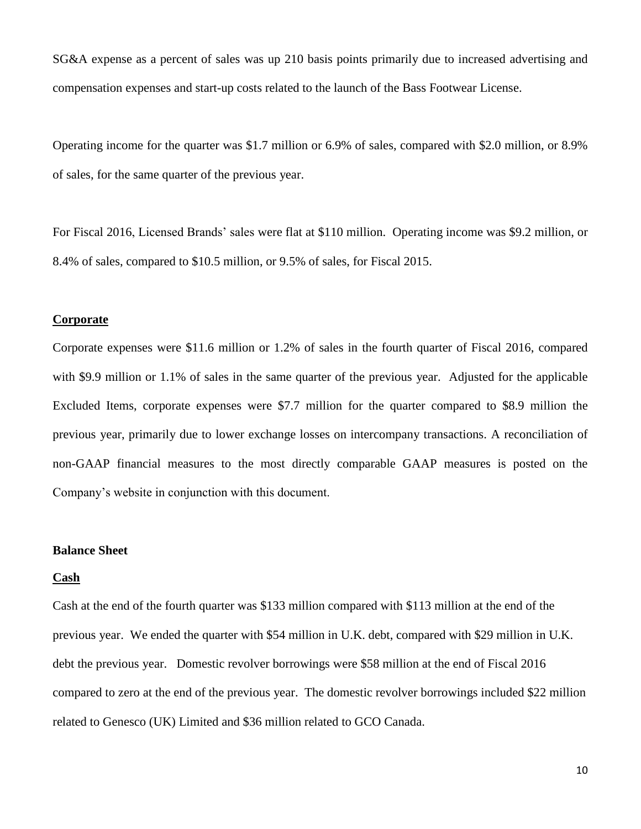SG&A expense as a percent of sales was up 210 basis points primarily due to increased advertising and compensation expenses and start-up costs related to the launch of the Bass Footwear License.

Operating income for the quarter was \$1.7 million or 6.9% of sales, compared with \$2.0 million, or 8.9% of sales, for the same quarter of the previous year.

For Fiscal 2016, Licensed Brands' sales were flat at \$110 million. Operating income was \$9.2 million, or 8.4% of sales, compared to \$10.5 million, or 9.5% of sales, for Fiscal 2015.

### **Corporate**

Corporate expenses were \$11.6 million or 1.2% of sales in the fourth quarter of Fiscal 2016, compared with \$9.9 million or 1.1% of sales in the same quarter of the previous year. Adjusted for the applicable Excluded Items, corporate expenses were \$7.7 million for the quarter compared to \$8.9 million the previous year, primarily due to lower exchange losses on intercompany transactions. A reconciliation of non-GAAP financial measures to the most directly comparable GAAP measures is posted on the Company's website in conjunction with this document.

#### **Balance Sheet**

#### **Cash**

Cash at the end of the fourth quarter was \$133 million compared with \$113 million at the end of the previous year. We ended the quarter with \$54 million in U.K. debt, compared with \$29 million in U.K. debt the previous year. Domestic revolver borrowings were \$58 million at the end of Fiscal 2016 compared to zero at the end of the previous year. The domestic revolver borrowings included \$22 million related to Genesco (UK) Limited and \$36 million related to GCO Canada.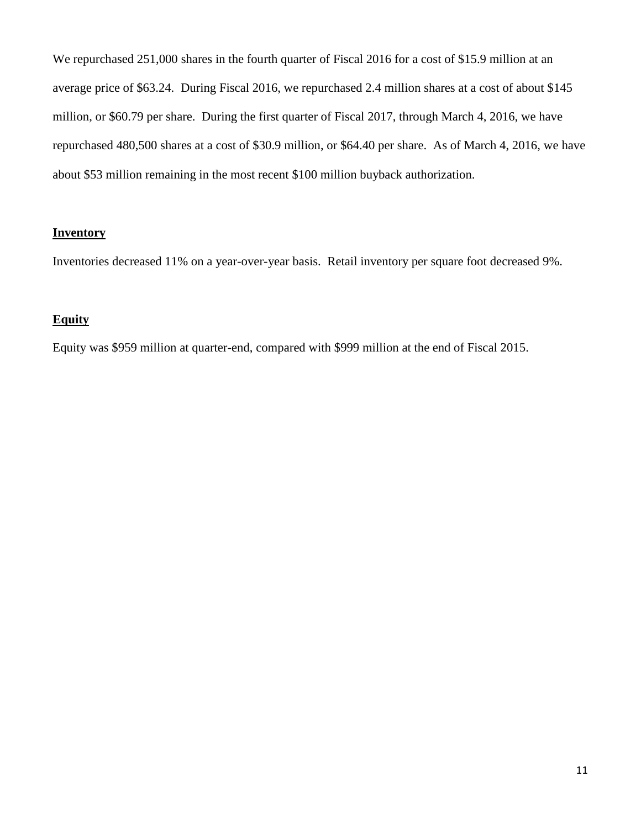We repurchased 251,000 shares in the fourth quarter of Fiscal 2016 for a cost of \$15.9 million at an average price of \$63.24. During Fiscal 2016, we repurchased 2.4 million shares at a cost of about \$145 million, or \$60.79 per share. During the first quarter of Fiscal 2017, through March 4, 2016, we have repurchased 480,500 shares at a cost of \$30.9 million, or \$64.40 per share. As of March 4, 2016, we have about \$53 million remaining in the most recent \$100 million buyback authorization.

## **Inventory**

Inventories decreased 11% on a year-over-year basis. Retail inventory per square foot decreased 9%.

## **Equity**

Equity was \$959 million at quarter-end, compared with \$999 million at the end of Fiscal 2015.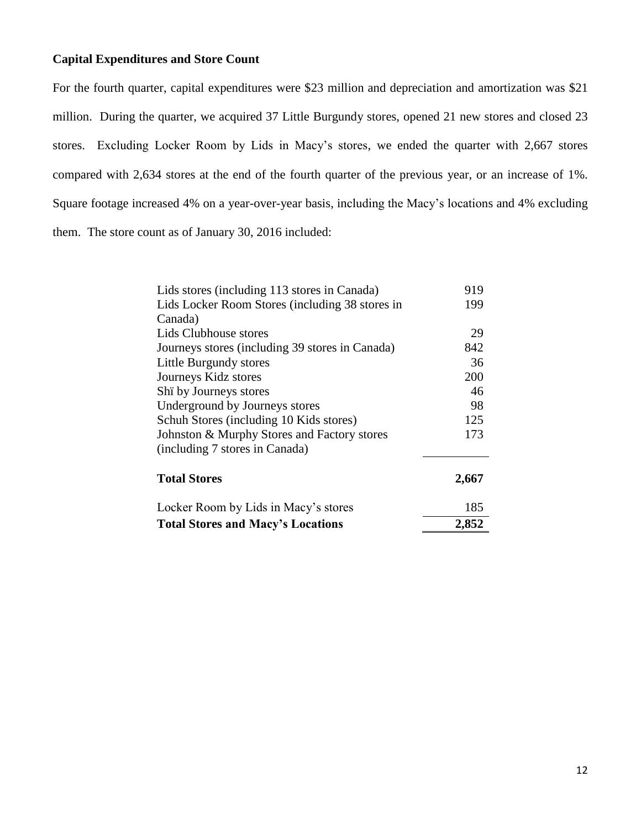# **Capital Expenditures and Store Count**

For the fourth quarter, capital expenditures were \$23 million and depreciation and amortization was \$21 million. During the quarter, we acquired 37 Little Burgundy stores, opened 21 new stores and closed 23 stores. Excluding Locker Room by Lids in Macy's stores, we ended the quarter with 2,667 stores compared with 2,634 stores at the end of the fourth quarter of the previous year, or an increase of 1%. Square footage increased 4% on a year-over-year basis, including the Macy's locations and 4% excluding them. The store count as of January 30, 2016 included:

| Lids stores (including 113 stores in Canada)    | 919   |
|-------------------------------------------------|-------|
| Lids Locker Room Stores (including 38 stores in | 199   |
| Canada)                                         |       |
| Lids Clubhouse stores                           | 29    |
| Journeys stores (including 39 stores in Canada) | 842   |
| Little Burgundy stores                          | 36    |
| Journeys Kidz stores                            | 200   |
| Shi by Journeys stores                          | 46    |
| Underground by Journeys stores                  | 98    |
| Schuh Stores (including 10 Kids stores)         | 125   |
| Johnston & Murphy Stores and Factory stores     | 173   |
| (including 7 stores in Canada)                  |       |
| <b>Total Stores</b>                             | 2,667 |
| Locker Room by Lids in Macy's stores            | 185   |
| <b>Total Stores and Macy's Locations</b>        | 2,852 |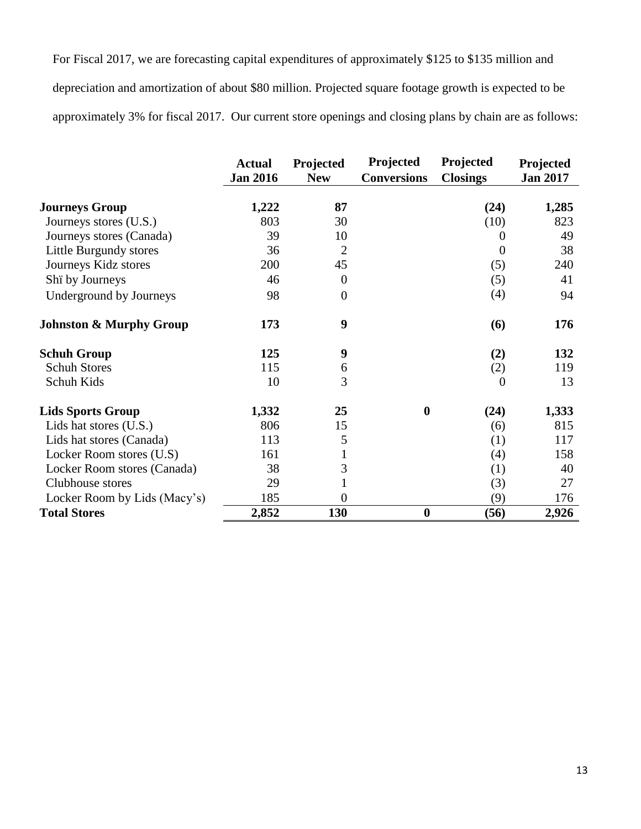For Fiscal 2017, we are forecasting capital expenditures of approximately \$125 to \$135 million and depreciation and amortization of about \$80 million. Projected square footage growth is expected to be approximately 3% for fiscal 2017. Our current store openings and closing plans by chain are as follows:

|                                    | <b>Actual</b><br><b>Jan 2016</b> | Projected<br><b>New</b> | Projected<br><b>Conversions</b> | Projected<br><b>Closings</b> | Projected<br><b>Jan 2017</b> |
|------------------------------------|----------------------------------|-------------------------|---------------------------------|------------------------------|------------------------------|
| <b>Journeys Group</b>              | 1,222                            | 87                      |                                 | (24)                         | 1,285                        |
| Journeys stores (U.S.)             | 803                              | 30                      |                                 | (10)                         | 823                          |
| Journeys stores (Canada)           | 39                               | 10                      |                                 | $\theta$                     | 49                           |
| Little Burgundy stores             | 36                               | $\mathbf{2}$            |                                 | $\overline{0}$               | 38                           |
| Journeys Kidz stores               | 200                              | 45                      |                                 | (5)                          | 240                          |
| Shi by Journeys                    | 46                               | $\boldsymbol{0}$        |                                 | (5)                          | 41                           |
| Underground by Journeys            | 98                               | $\boldsymbol{0}$        |                                 | (4)                          | 94                           |
| <b>Johnston &amp; Murphy Group</b> | 173                              | $\boldsymbol{9}$        |                                 | (6)                          | 176                          |
| <b>Schuh Group</b>                 | 125                              | 9                       |                                 | (2)                          | 132                          |
| <b>Schuh Stores</b>                | 115                              | 6                       |                                 | (2)                          | 119                          |
| Schuh Kids                         | 10                               | $\overline{3}$          |                                 | $\overline{0}$               | 13                           |
| <b>Lids Sports Group</b>           | 1,332                            | 25                      | $\bf{0}$                        | (24)                         | 1,333                        |
| Lids hat stores (U.S.)             | 806                              | 15                      |                                 | (6)                          | 815                          |
| Lids hat stores (Canada)           | 113                              | 5                       |                                 | (1)                          | 117                          |
| Locker Room stores (U.S)           | 161                              | $\mathbf{1}$            |                                 | (4)                          | 158                          |
| Locker Room stores (Canada)        | 38                               | 3                       |                                 | (1)                          | 40                           |
| Clubhouse stores                   | 29                               | $\mathbf{1}$            |                                 | (3)                          | 27                           |
| Locker Room by Lids (Macy's)       | 185                              | $\overline{0}$          |                                 | (9)                          | 176                          |
| <b>Total Stores</b>                | 2,852                            | 130                     | $\boldsymbol{0}$                | (56)                         | 2,926                        |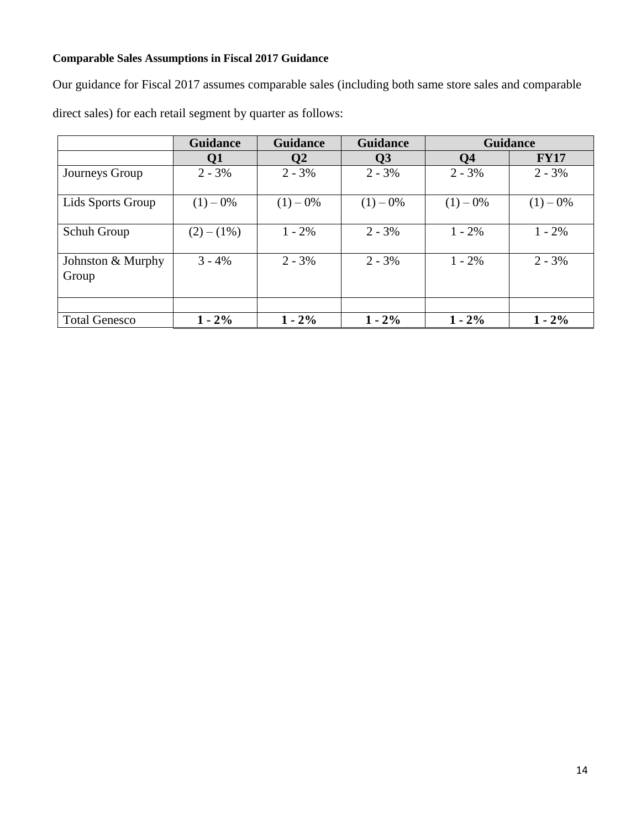# **Comparable Sales Assumptions in Fiscal 2017 Guidance**

Our guidance for Fiscal 2017 assumes comparable sales (including both same store sales and comparable direct sales) for each retail segment by quarter as follows:

|                            | <b>Guidance</b> | <b>Guidance</b> | <b>Guidance</b> | <b>Guidance</b> |             |
|----------------------------|-----------------|-----------------|-----------------|-----------------|-------------|
|                            | Q1              | Q2              | $\overline{Q}3$ | Q <sub>4</sub>  | <b>FY17</b> |
| Journeys Group             | $2 - 3\%$       | $2 - 3\%$       | $2 - 3\%$       | $2 - 3\%$       | $2 - 3\%$   |
| Lids Sports Group          | $(1) - 0\%$     | $(1) - 0\%$     | $(1) - 0\%$     | $(1) - 0\%$     | $(1) - 0\%$ |
| Schuh Group                | $(2)-(1%)$      | $1 - 2\%$       | $2 - 3%$        | $1 - 2\%$       | $1 - 2\%$   |
| Johnston & Murphy<br>Group | $3 - 4\%$       | $2 - 3\%$       | $2 - 3\%$       | $1 - 2\%$       | $2 - 3\%$   |
| <b>Total Genesco</b>       | $1 - 2\%$       | $1 - 2\%$       | $1 - 2\%$       | $1 - 2\%$       | $1 - 2\%$   |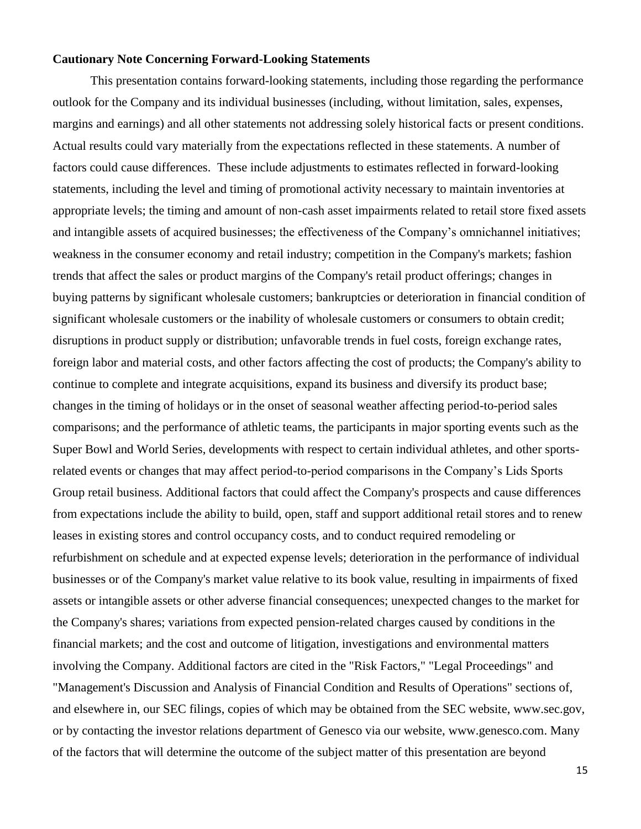## **Cautionary Note Concerning Forward-Looking Statements**

This presentation contains forward-looking statements, including those regarding the performance outlook for the Company and its individual businesses (including, without limitation, sales, expenses, margins and earnings) and all other statements not addressing solely historical facts or present conditions. Actual results could vary materially from the expectations reflected in these statements. A number of factors could cause differences. These include adjustments to estimates reflected in forward-looking statements, including the level and timing of promotional activity necessary to maintain inventories at appropriate levels; the timing and amount of non-cash asset impairments related to retail store fixed assets and intangible assets of acquired businesses; the effectiveness of the Company's omnichannel initiatives; weakness in the consumer economy and retail industry; competition in the Company's markets; fashion trends that affect the sales or product margins of the Company's retail product offerings; changes in buying patterns by significant wholesale customers; bankruptcies or deterioration in financial condition of significant wholesale customers or the inability of wholesale customers or consumers to obtain credit; disruptions in product supply or distribution; unfavorable trends in fuel costs, foreign exchange rates, foreign labor and material costs, and other factors affecting the cost of products; the Company's ability to continue to complete and integrate acquisitions, expand its business and diversify its product base; changes in the timing of holidays or in the onset of seasonal weather affecting period-to-period sales comparisons; and the performance of athletic teams, the participants in major sporting events such as the Super Bowl and World Series, developments with respect to certain individual athletes, and other sportsrelated events or changes that may affect period-to-period comparisons in the Company's Lids Sports Group retail business. Additional factors that could affect the Company's prospects and cause differences from expectations include the ability to build, open, staff and support additional retail stores and to renew leases in existing stores and control occupancy costs, and to conduct required remodeling or refurbishment on schedule and at expected expense levels; deterioration in the performance of individual businesses or of the Company's market value relative to its book value, resulting in impairments of fixed assets or intangible assets or other adverse financial consequences; unexpected changes to the market for the Company's shares; variations from expected pension-related charges caused by conditions in the financial markets; and the cost and outcome of litigation, investigations and environmental matters involving the Company. Additional factors are cited in the "Risk Factors," "Legal Proceedings" and "Management's Discussion and Analysis of Financial Condition and Results of Operations" sections of, and elsewhere in, our SEC filings, copies of which may be obtained from the SEC website, [www.sec.gov,](http://www.sec.gov/) or by contacting the investor relations department of Genesco via our website, [www.genesco.com.](http://www.genesco.com/) Many of the factors that will determine the outcome of the subject matter of this presentation are beyond